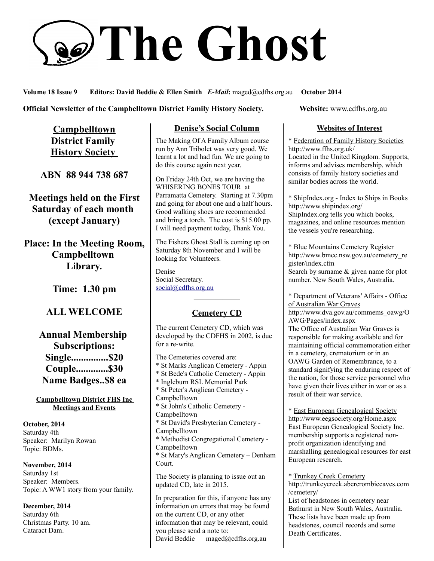# **The Ghost**

**Volume 18 Issue 9 Editors: David Beddie & Ellen Smith** *E-Mail***:** maged@cdfhs.org.au **October 2014**

**Official Newsletter of the Campbelltown District Family History Society. Website: www.cdfhs.org.au** 

**Campbelltown District Family History Society** 

**ABN 88 944 738 687**

**Meetings held on the First Saturday of each month (except January)**

**Place: In the Meeting Room, Campbelltown Library.**

**Time: 1.30 pm**

**ALL WELCOME**

**Annual Membership Subscriptions: Single...............\$20 Couple.............\$30 Name Badges..\$8 ea**

**Campbelltown District FHS Inc Meetings and Events**

**October, 2014** Saturday 4th Speaker: Marilyn Rowan Topic: BDMs.

**November, 2014** Saturday 1st Speaker: Members. Topic: A WW1 story from your family.

**December, 2014** Saturday 6th Christmas Party. 10 am. Cataract Dam.

# **Denise's Social Column**

The Making Of A Family Album course run by Ann Tribolet was very good. We learnt a lot and had fun. We are going to do this course again next year.

On Friday 24th Oct, we are having the WHISERING BONES TOUR at Parramatta Cemetery. Starting at 7.30pm and going for about one and a half hours. Good walking shoes are recommended and bring a torch. The cost is \$15.00 pp. I will need payment today, Thank You.

The Fishers Ghost Stall is coming up on Saturday 8th November and I will be looking for Volunteers.

Denise Social Secretary. [social@cdfhs.org.au](mailto:social@cdfhs.org.au)

# ——————– **Cemetery CD**

The current Cemetery CD, which was developed by the CDFHS in 2002, is due for a re-write.

The Cemeteries covered are: \* St Marks Anglican Cemetery - Appin \* St Bede's Catholic Cemetery - Appin \* Ingleburn RSL Memorial Park \* St Peter's Anglican Cemetery - Campbelltown \* St John's Catholic Cemetery - Campbelltown \* St David's Presbyterian Cemetery - Campbelltown \* Methodist Congregational Cemetery - Campbelltown \* St Mary's Anglican Cemetery – Denham Court. The Society is planning to issue out an updated CD, late in 2015.

In preparation for this, if anyone has any information on errors that may be found on the current CD, or any other information that may be relevant, could you please send a note to: David Beddie maged@cdfhs.org.au

### **Websites of Interest**

\* Federation of Family History Societies http://www.ffhs.org.uk/ Located in the United Kingdom. Supports, informs and advises membership, which consists of family history societies and similar bodies across the world.

\* ShipIndex.org - Index to Ships in Books http://www.shipindex.org/ ShipIndex.org tells you which books, magazines, and online resources mention the vessels you're researching.

\* Blue Mountains Cemetery Register http://www.bmcc.nsw.gov.au/cemetery\_re gister/index.cfm Search by surname & given name for plot number. New South Wales, Australia.

\* Department of Veterans' Affairs - Office of Australian War Graves http://www.dva.gov.au/commems\_oawg/O AWG/Pages/index.aspx The Office of Australian War Graves is responsible for making available and for maintaining official commemoration either in a cemetery, crematorium or in an OAWG Garden of Remembrance, to a standard signifying the enduring respect of the nation, for those service personnel who have given their lives either in war or as a result of their war service.

\* East European Genealogical Society http://www.eegsociety.org/Home.aspx East European Genealogical Society Inc. membership supports a registered nonprofit organization identifying and marshalling genealogical resources for east European research.

\* Trunkey Creek Cemetery http://trunkeycreek.abercrombiecaves.com /cemetery/ List of headstones in cemetery near Bathurst in New South Wales, Australia. These lists have been made up from headstones, council records and some

Death Certificates.